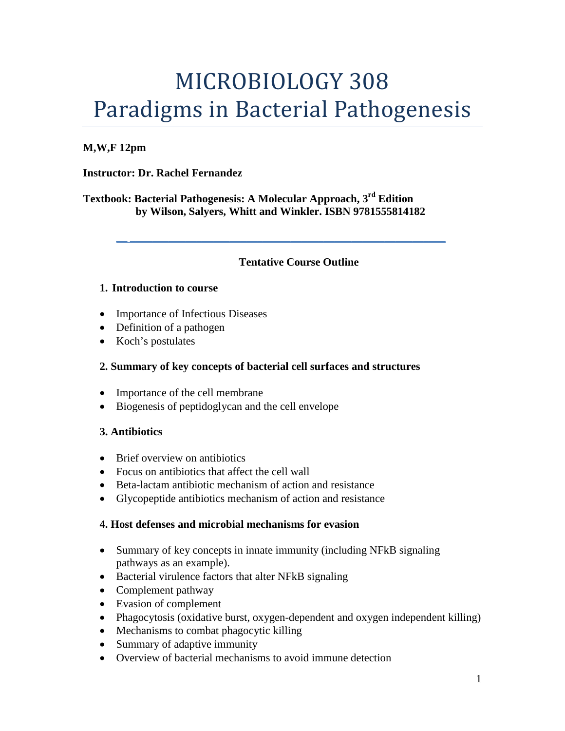# MICROBIOLOGY 308 Paradigms in Bacterial Pathogenesis

## **M,W,F 12pm**

## **Instructor: Dr. Rachel Fernandez**

**Textbook: Bacterial Pathogenesis: A Molecular Approach, 3rd Edition by Wilson, Salyers, Whitt and Winkler. ISBN 9781555814182**

## **Tentative Course Outline**

**\_\_ \_\_\_\_\_\_\_\_\_\_\_\_\_\_\_\_\_\_\_\_\_\_\_\_\_\_\_\_\_\_\_\_\_\_\_\_\_\_\_\_\_\_\_\_\_\_\_\_\_\_\_\_\_\_\_\_\_**

#### **1. Introduction to course**

- Importance of Infectious Diseases
- Definition of a pathogen
- Koch's postulates

## **2. Summary of key concepts of bacterial cell surfaces and structures**

- Importance of the cell membrane
- Biogenesis of peptidoglycan and the cell envelope

## **3. Antibiotics**

- Brief overview on antibiotics
- Focus on antibiotics that affect the cell wall
- Beta-lactam antibiotic mechanism of action and resistance
- Glycopeptide antibiotics mechanism of action and resistance

#### **4. Host defenses and microbial mechanisms for evasion**

- Summary of key concepts in innate immunity (including NFkB signaling pathways as an example).
- Bacterial virulence factors that alter NFkB signaling
- Complement pathway
- Evasion of complement
- Phagocytosis (oxidative burst, oxygen-dependent and oxygen independent killing)
- Mechanisms to combat phagocytic killing
- Summary of adaptive immunity
- Overview of bacterial mechanisms to avoid immune detection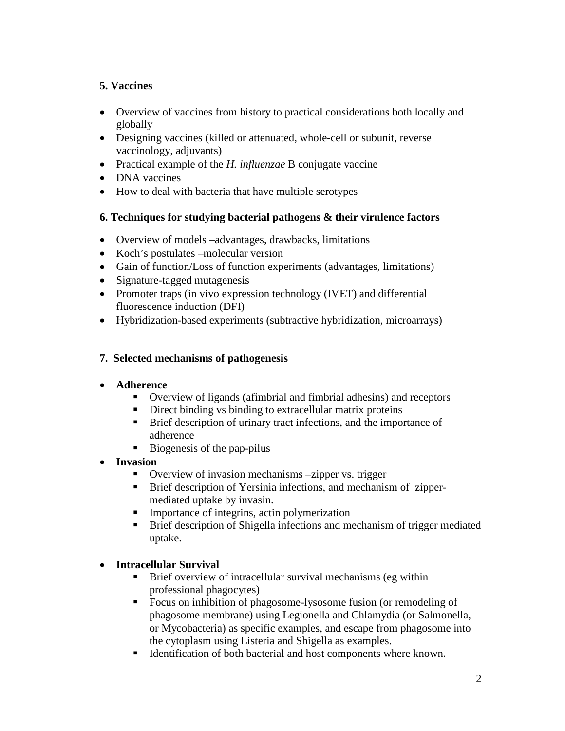# **5. Vaccines**

- Overview of vaccines from history to practical considerations both locally and globally
- Designing vaccines (killed or attenuated, whole-cell or subunit, reverse vaccinology, adjuvants)
- Practical example of the *H. influenzae* B conjugate vaccine
- DNA vaccines
- How to deal with bacteria that have multiple serotypes

## **6. Techniques for studying bacterial pathogens & their virulence factors**

- Overview of models –advantages, drawbacks, limitations
- Koch's postulates –molecular version
- Gain of function/Loss of function experiments (advantages, limitations)
- Signature-tagged mutagenesis
- Promoter traps (in vivo expression technology (IVET) and differential fluorescence induction (DFI)
- Hybridization-based experiments (subtractive hybridization, microarrays)

## **7. Selected mechanisms of pathogenesis**

## • **Adherence**

- Overview of ligands (afimbrial and fimbrial adhesins) and receptors
- Direct binding vs binding to extracellular matrix proteins
- **Brief description of urinary tract infections, and the importance of** adherence
- $\blacksquare$  Biogenesis of the pap-pilus
- **Invasion** 
	- Overview of invasion mechanisms –zipper vs. trigger
	- **Brief description of Yersinia infections, and mechanism of zipper**mediated uptake by invasin.
	- **IMPORTANCE OF integrins, actin polymerization**
	- **Brief description of Shigella infections and mechanism of trigger mediated** uptake.

## • **Intracellular Survival**

- Brief overview of intracellular survival mechanisms (eg within professional phagocytes)
- **Focus on inhibition of phagosome-lysosome fusion (or remodeling of** phagosome membrane) using Legionella and Chlamydia (or Salmonella, or Mycobacteria) as specific examples, and escape from phagosome into the cytoplasm using Listeria and Shigella as examples.
- Identification of both bacterial and host components where known.